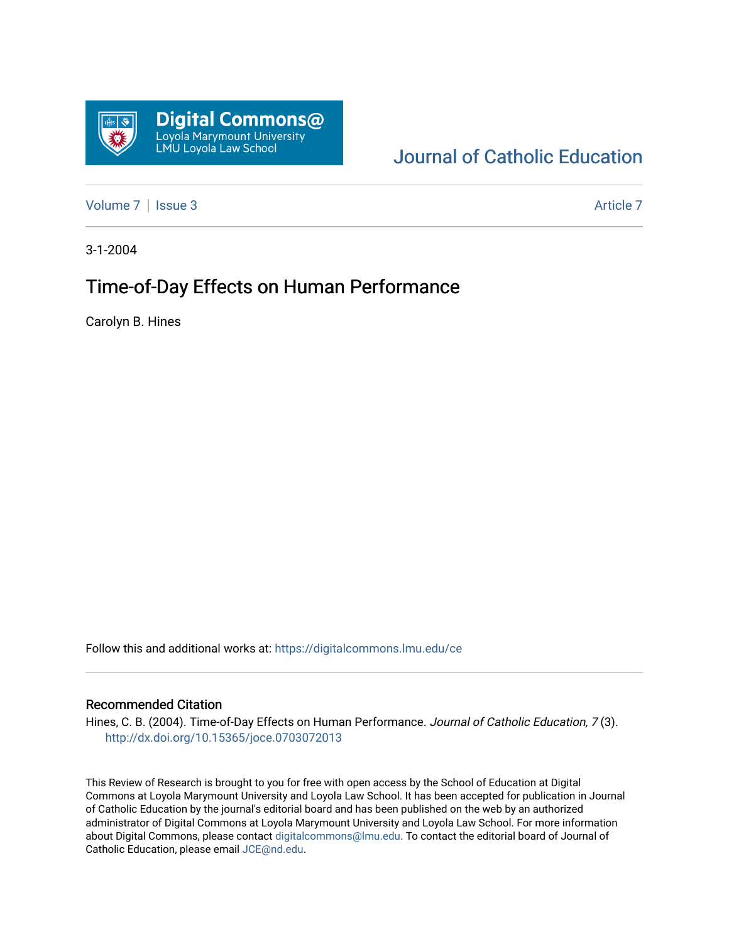

# [Journal of Catholic Education](https://digitalcommons.lmu.edu/ce)

[Volume 7](https://digitalcommons.lmu.edu/ce/vol7) | [Issue 3](https://digitalcommons.lmu.edu/ce/vol7/iss3) Article 7

3-1-2004

## Time-of-Day Effects on Human Performance

Carolyn B. Hines

Follow this and additional works at: [https://digitalcommons.lmu.edu/ce](https://digitalcommons.lmu.edu/ce?utm_source=digitalcommons.lmu.edu%2Fce%2Fvol7%2Fiss3%2F7&utm_medium=PDF&utm_campaign=PDFCoverPages)

#### Recommended Citation

Hines, C. B. (2004). Time-of-Day Effects on Human Performance. Journal of Catholic Education, 7 (3). <http://dx.doi.org/10.15365/joce.0703072013>

This Review of Research is brought to you for free with open access by the School of Education at Digital Commons at Loyola Marymount University and Loyola Law School. It has been accepted for publication in Journal of Catholic Education by the journal's editorial board and has been published on the web by an authorized administrator of Digital Commons at Loyola Marymount University and Loyola Law School. For more information about Digital Commons, please contact [digitalcommons@lmu.edu](mailto:digitalcommons@lmu.edu). To contact the editorial board of Journal of Catholic Education, please email [JCE@nd.edu.](mailto:JCE@nd.edu)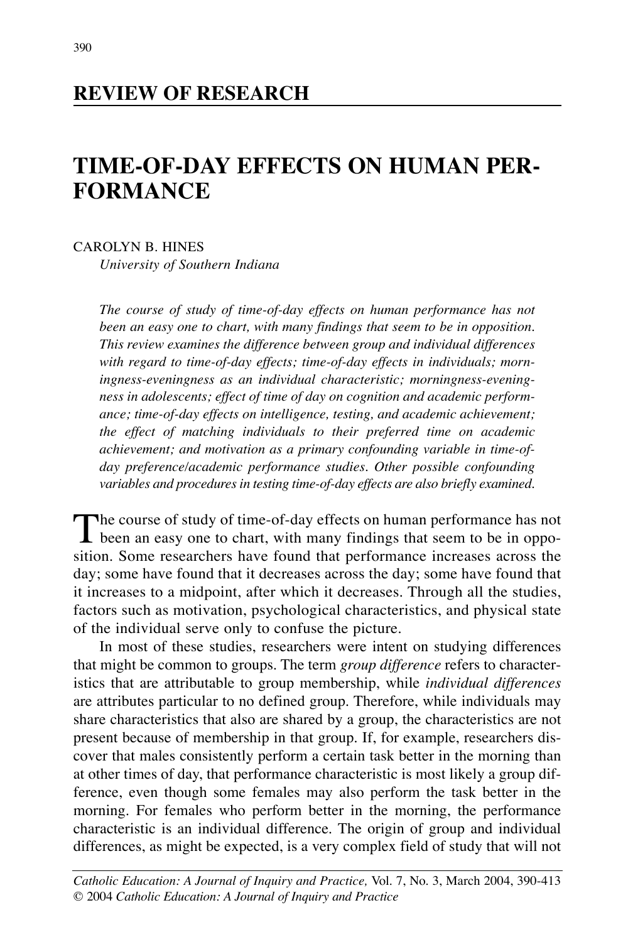#### **REVIEW OF RESEARCH**

## **TIME-OF-DAY EFFECTS ON HUMAN PER-FORMANCE**

CAROLYN B. HINES

*University of Southern Indiana*

*The course of study of time-of-day effects on human performance has not been an easy one to chart, with many findings that seem to be in opposition. This review examines the difference between group and individual differences with regard to time-of-day effects; time-of-day effects in individuals; morningness-eveningness as an individual characteristic; morningness-eveningness in adolescents; effect of time of day on cognition and academic performance; time-of-day effects on intelligence, testing, and academic achievement; the effect of matching individuals to their preferred time on academic achievement; and motivation as a primary confounding variable in time-ofday preference/academic performance studies. Other possible confounding variables and procedures in testing time-of-day effects are also briefly examined.*

The course of study of time-of-day effects on human performance has not been an easy one to chart, with many findings that seem to be in opposition. Some researchers have found that performance increases across the day; some have found that it decreases across the day; some have found that it increases to a midpoint, after which it decreases. Through all the studies, factors such as motivation, psychological characteristics, and physical state of the individual serve only to confuse the picture.

In most of these studies, researchers were intent on studying differences that might be common to groups. The term *group difference* refers to characteristics that are attributable to group membership, while *individual differences* are attributes particular to no defined group. Therefore, while individuals may share characteristics that also are shared by a group, the characteristics are not present because of membership in that group. If, for example, researchers discover that males consistently perform a certain task better in the morning than at other times of day, that performance characteristic is most likely a group difference, even though some females may also perform the task better in the morning. For females who perform better in the morning, the performance characteristic is an individual difference. The origin of group and individual differences, as might be expected, is a very complex field of study that will not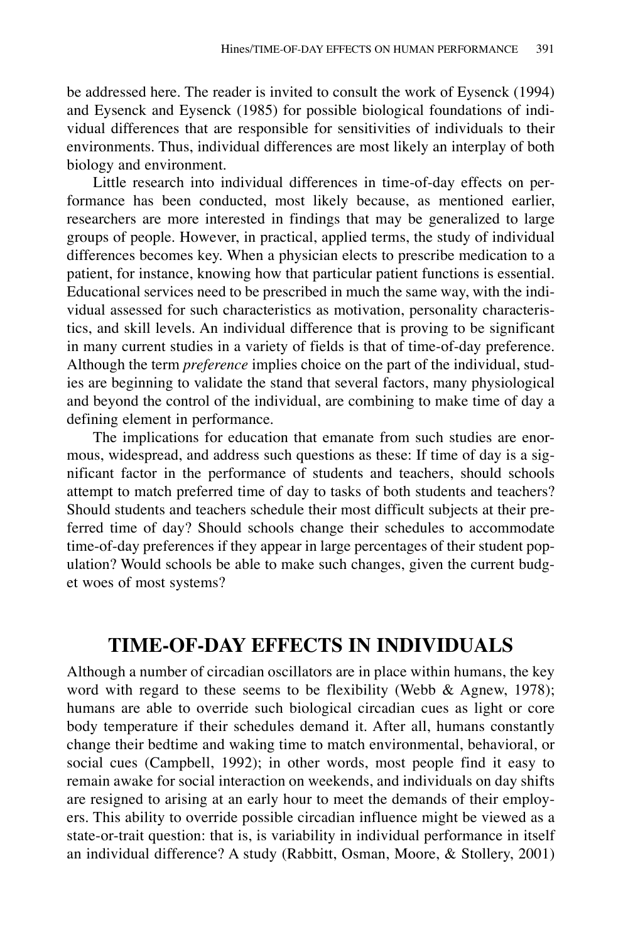be addressed here. The reader is invited to consult the work of Eysenck (1994) and Eysenck and Eysenck (1985) for possible biological foundations of individual differences that are responsible for sensitivities of individuals to their environments. Thus, individual differences are most likely an interplay of both biology and environment.

Little research into individual differences in time-of-day effects on performance has been conducted, most likely because, as mentioned earlier, researchers are more interested in findings that may be generalized to large groups of people. However, in practical, applied terms, the study of individual differences becomes key. When a physician elects to prescribe medication to a patient, for instance, knowing how that particular patient functions is essential. Educational services need to be prescribed in much the same way, with the individual assessed for such characteristics as motivation, personality characteristics, and skill levels. An individual difference that is proving to be significant in many current studies in a variety of fields is that of time-of-day preference. Although the term *preference* implies choice on the part of the individual, studies are beginning to validate the stand that several factors, many physiological and beyond the control of the individual, are combining to make time of day a defining element in performance.

The implications for education that emanate from such studies are enormous, widespread, and address such questions as these: If time of day is a significant factor in the performance of students and teachers, should schools attempt to match preferred time of day to tasks of both students and teachers? Should students and teachers schedule their most difficult subjects at their preferred time of day? Should schools change their schedules to accommodate time-of-day preferences if they appear in large percentages of their student population? Would schools be able to make such changes, given the current budget woes of most systems?

#### **TIME-OF-DAY EFFECTS IN INDIVIDUALS**

Although a number of circadian oscillators are in place within humans, the key word with regard to these seems to be flexibility (Webb & Agnew, 1978); humans are able to override such biological circadian cues as light or core body temperature if their schedules demand it. After all, humans constantly change their bedtime and waking time to match environmental, behavioral, or social cues (Campbell, 1992); in other words, most people find it easy to remain awake for social interaction on weekends, and individuals on day shifts are resigned to arising at an early hour to meet the demands of their employers. This ability to override possible circadian influence might be viewed as a state-or-trait question: that is, is variability in individual performance in itself an individual difference? A study (Rabbitt, Osman, Moore, & Stollery, 2001)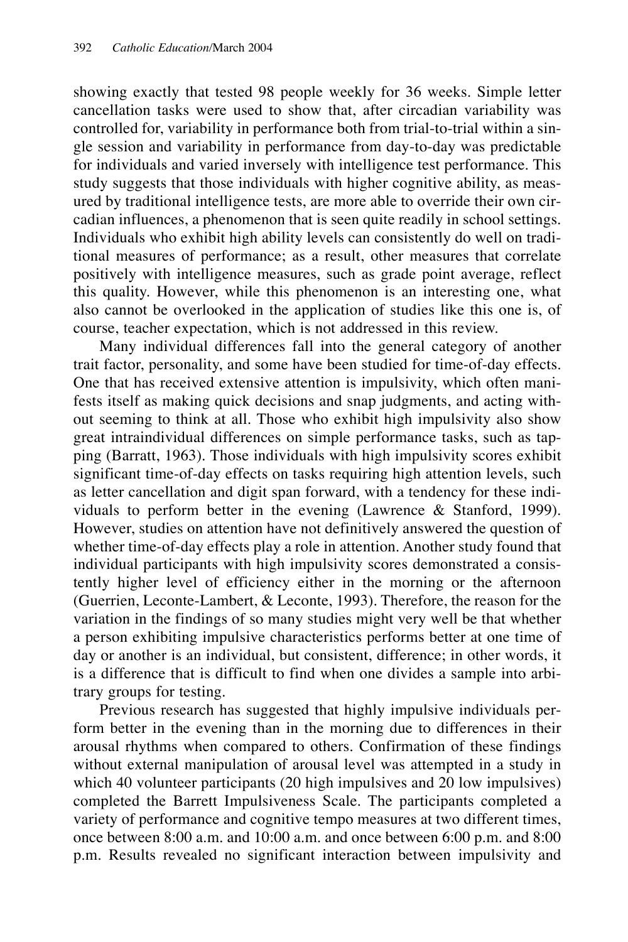showing exactly that tested 98 people weekly for 36 weeks. Simple letter cancellation tasks were used to show that, after circadian variability was controlled for, variability in performance both from trial-to-trial within a single session and variability in performance from day-to-day was predictable for individuals and varied inversely with intelligence test performance. This study suggests that those individuals with higher cognitive ability, as measured by traditional intelligence tests, are more able to override their own circadian influences, a phenomenon that is seen quite readily in school settings. Individuals who exhibit high ability levels can consistently do well on traditional measures of performance; as a result, other measures that correlate positively with intelligence measures, such as grade point average, reflect this quality. However, while this phenomenon is an interesting one, what also cannot be overlooked in the application of studies like this one is, of course, teacher expectation, which is not addressed in this review.

Many individual differences fall into the general category of another trait factor, personality, and some have been studied for time-of-day effects. One that has received extensive attention is impulsivity, which often manifests itself as making quick decisions and snap judgments, and acting without seeming to think at all. Those who exhibit high impulsivity also show great intraindividual differences on simple performance tasks, such as tapping (Barratt, 1963). Those individuals with high impulsivity scores exhibit significant time-of-day effects on tasks requiring high attention levels, such as letter cancellation and digit span forward, with a tendency for these individuals to perform better in the evening (Lawrence & Stanford, 1999). However, studies on attention have not definitively answered the question of whether time-of-day effects play a role in attention. Another study found that individual participants with high impulsivity scores demonstrated a consistently higher level of efficiency either in the morning or the afternoon (Guerrien, Leconte-Lambert, & Leconte, 1993). Therefore, the reason for the variation in the findings of so many studies might very well be that whether a person exhibiting impulsive characteristics performs better at one time of day or another is an individual, but consistent, difference; in other words, it is a difference that is difficult to find when one divides a sample into arbitrary groups for testing.

Previous research has suggested that highly impulsive individuals perform better in the evening than in the morning due to differences in their arousal rhythms when compared to others. Confirmation of these findings without external manipulation of arousal level was attempted in a study in which 40 volunteer participants (20 high impulsives and 20 low impulsives) completed the Barrett Impulsiveness Scale. The participants completed a variety of performance and cognitive tempo measures at two different times, once between 8:00 a.m. and 10:00 a.m. and once between 6:00 p.m. and 8:00 p.m. Results revealed no significant interaction between impulsivity and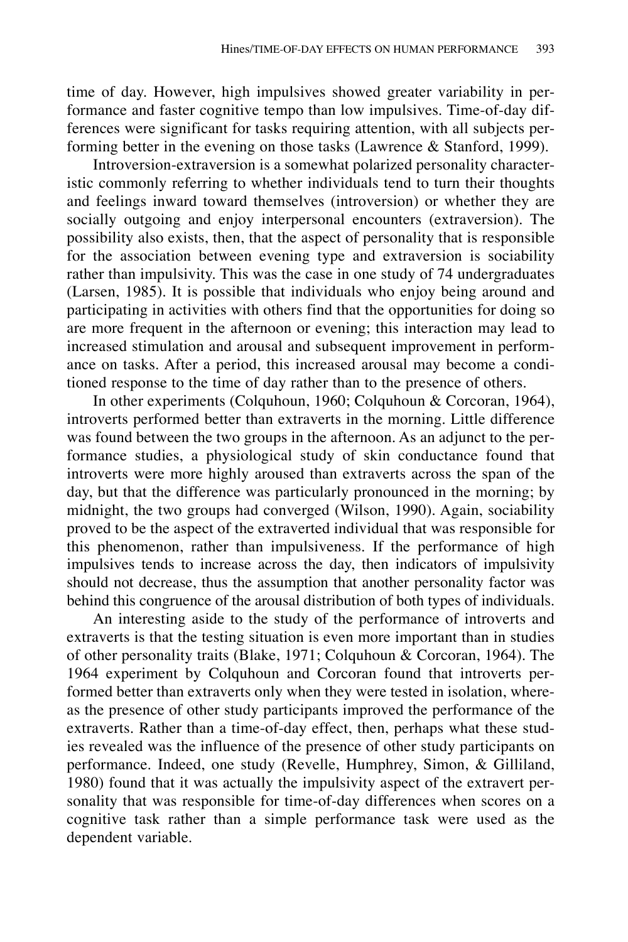time of day. However, high impulsives showed greater variability in performance and faster cognitive tempo than low impulsives. Time-of-day differences were significant for tasks requiring attention, with all subjects performing better in the evening on those tasks (Lawrence & Stanford, 1999).

Introversion-extraversion is a somewhat polarized personality characteristic commonly referring to whether individuals tend to turn their thoughts and feelings inward toward themselves (introversion) or whether they are socially outgoing and enjoy interpersonal encounters (extraversion). The possibility also exists, then, that the aspect of personality that is responsible for the association between evening type and extraversion is sociability rather than impulsivity. This was the case in one study of 74 undergraduates (Larsen, 1985). It is possible that individuals who enjoy being around and participating in activities with others find that the opportunities for doing so are more frequent in the afternoon or evening; this interaction may lead to increased stimulation and arousal and subsequent improvement in performance on tasks. After a period, this increased arousal may become a conditioned response to the time of day rather than to the presence of others.

In other experiments (Colquhoun, 1960; Colquhoun & Corcoran, 1964), introverts performed better than extraverts in the morning. Little difference was found between the two groups in the afternoon. As an adjunct to the performance studies, a physiological study of skin conductance found that introverts were more highly aroused than extraverts across the span of the day, but that the difference was particularly pronounced in the morning; by midnight, the two groups had converged (Wilson, 1990). Again, sociability proved to be the aspect of the extraverted individual that was responsible for this phenomenon, rather than impulsiveness. If the performance of high impulsives tends to increase across the day, then indicators of impulsivity should not decrease, thus the assumption that another personality factor was behind this congruence of the arousal distribution of both types of individuals.

An interesting aside to the study of the performance of introverts and extraverts is that the testing situation is even more important than in studies of other personality traits (Blake, 1971; Colquhoun & Corcoran, 1964). The 1964 experiment by Colquhoun and Corcoran found that introverts performed better than extraverts only when they were tested in isolation, whereas the presence of other study participants improved the performance of the extraverts. Rather than a time-of-day effect, then, perhaps what these studies revealed was the influence of the presence of other study participants on performance. Indeed, one study (Revelle, Humphrey, Simon, & Gilliland, 1980) found that it was actually the impulsivity aspect of the extravert personality that was responsible for time-of-day differences when scores on a cognitive task rather than a simple performance task were used as the dependent variable.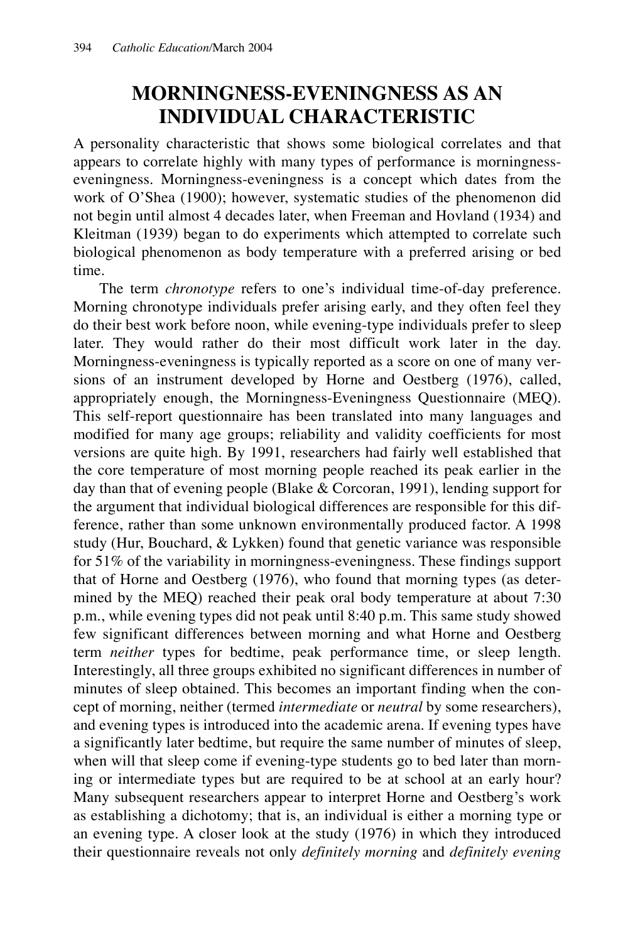### **MORNINGNESS-EVENINGNESS AS AN INDIVIDUAL CHARACTERISTIC**

A personality characteristic that shows some biological correlates and that appears to correlate highly with many types of performance is morningnesseveningness. Morningness-eveningness is a concept which dates from the work of O'Shea (1900); however, systematic studies of the phenomenon did not begin until almost 4 decades later, when Freeman and Hovland (1934) and Kleitman (1939) began to do experiments which attempted to correlate such biological phenomenon as body temperature with a preferred arising or bed time.

The term *chronotype* refers to one's individual time-of-day preference. Morning chronotype individuals prefer arising early, and they often feel they do their best work before noon, while evening-type individuals prefer to sleep later. They would rather do their most difficult work later in the day. Morningness-eveningness is typically reported as a score on one of many versions of an instrument developed by Horne and Oestberg (1976), called, appropriately enough, the Morningness-Eveningness Questionnaire (MEQ). This self-report questionnaire has been translated into many languages and modified for many age groups; reliability and validity coefficients for most versions are quite high. By 1991, researchers had fairly well established that the core temperature of most morning people reached its peak earlier in the day than that of evening people (Blake & Corcoran, 1991), lending support for the argument that individual biological differences are responsible for this difference, rather than some unknown environmentally produced factor. A 1998 study (Hur, Bouchard, & Lykken) found that genetic variance was responsible for 51% of the variability in morningness-eveningness. These findings support that of Horne and Oestberg (1976), who found that morning types (as determined by the MEQ) reached their peak oral body temperature at about 7:30 p.m., while evening types did not peak until 8:40 p.m. This same study showed few significant differences between morning and what Horne and Oestberg term *neither* types for bedtime, peak performance time, or sleep length. Interestingly, all three groups exhibited no significant differences in number of minutes of sleep obtained. This becomes an important finding when the concept of morning, neither (termed *intermediate* or *neutral* by some researchers), and evening types is introduced into the academic arena. If evening types have a significantly later bedtime, but require the same number of minutes of sleep, when will that sleep come if evening-type students go to bed later than morning or intermediate types but are required to be at school at an early hour? Many subsequent researchers appear to interpret Horne and Oestberg's work as establishing a dichotomy; that is, an individual is either a morning type or an evening type. A closer look at the study (1976) in which they introduced their questionnaire reveals not only *definitely morning* and *definitely evening*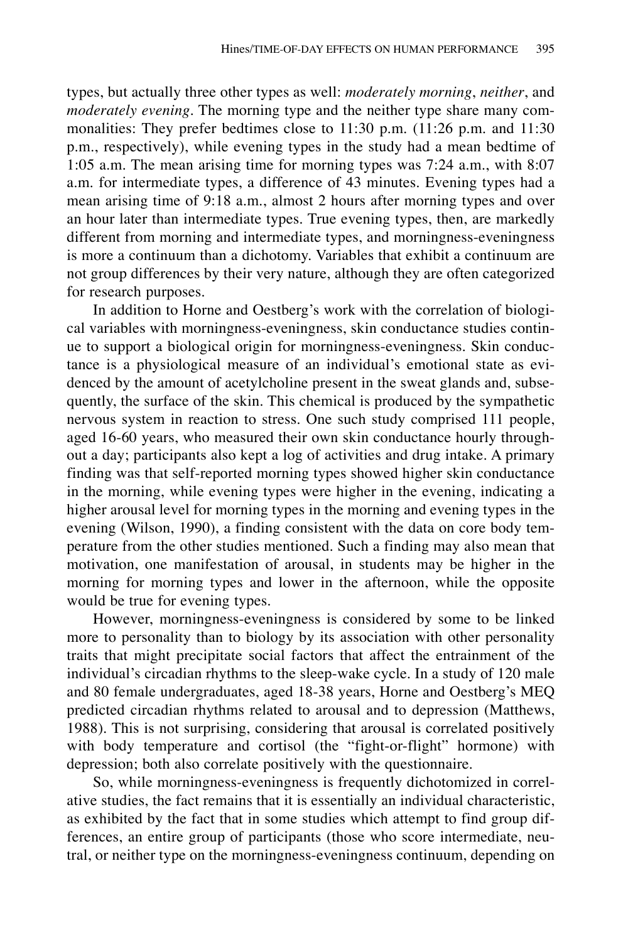types, but actually three other types as well: *moderately morning*, *neither*, and *moderately evening*. The morning type and the neither type share many commonalities: They prefer bedtimes close to 11:30 p.m. (11:26 p.m. and 11:30 p.m., respectively), while evening types in the study had a mean bedtime of 1:05 a.m. The mean arising time for morning types was 7:24 a.m., with 8:07 a.m. for intermediate types, a difference of 43 minutes. Evening types had a mean arising time of 9:18 a.m., almost 2 hours after morning types and over an hour later than intermediate types. True evening types, then, are markedly different from morning and intermediate types, and morningness-eveningness is more a continuum than a dichotomy. Variables that exhibit a continuum are not group differences by their very nature, although they are often categorized for research purposes.

In addition to Horne and Oestberg's work with the correlation of biological variables with morningness-eveningness, skin conductance studies continue to support a biological origin for morningness-eveningness. Skin conductance is a physiological measure of an individual's emotional state as evidenced by the amount of acetylcholine present in the sweat glands and, subsequently, the surface of the skin. This chemical is produced by the sympathetic nervous system in reaction to stress. One such study comprised 111 people, aged 16-60 years, who measured their own skin conductance hourly throughout a day; participants also kept a log of activities and drug intake. A primary finding was that self-reported morning types showed higher skin conductance in the morning, while evening types were higher in the evening, indicating a higher arousal level for morning types in the morning and evening types in the evening (Wilson, 1990), a finding consistent with the data on core body temperature from the other studies mentioned. Such a finding may also mean that motivation, one manifestation of arousal, in students may be higher in the morning for morning types and lower in the afternoon, while the opposite would be true for evening types.

However, morningness-eveningness is considered by some to be linked more to personality than to biology by its association with other personality traits that might precipitate social factors that affect the entrainment of the individual's circadian rhythms to the sleep-wake cycle. In a study of 120 male and 80 female undergraduates, aged 18-38 years, Horne and Oestberg's MEQ predicted circadian rhythms related to arousal and to depression (Matthews, 1988). This is not surprising, considering that arousal is correlated positively with body temperature and cortisol (the "fight-or-flight" hormone) with depression; both also correlate positively with the questionnaire.

So, while morningness-eveningness is frequently dichotomized in correlative studies, the fact remains that it is essentially an individual characteristic, as exhibited by the fact that in some studies which attempt to find group differences, an entire group of participants (those who score intermediate, neutral, or neither type on the morningness-eveningness continuum, depending on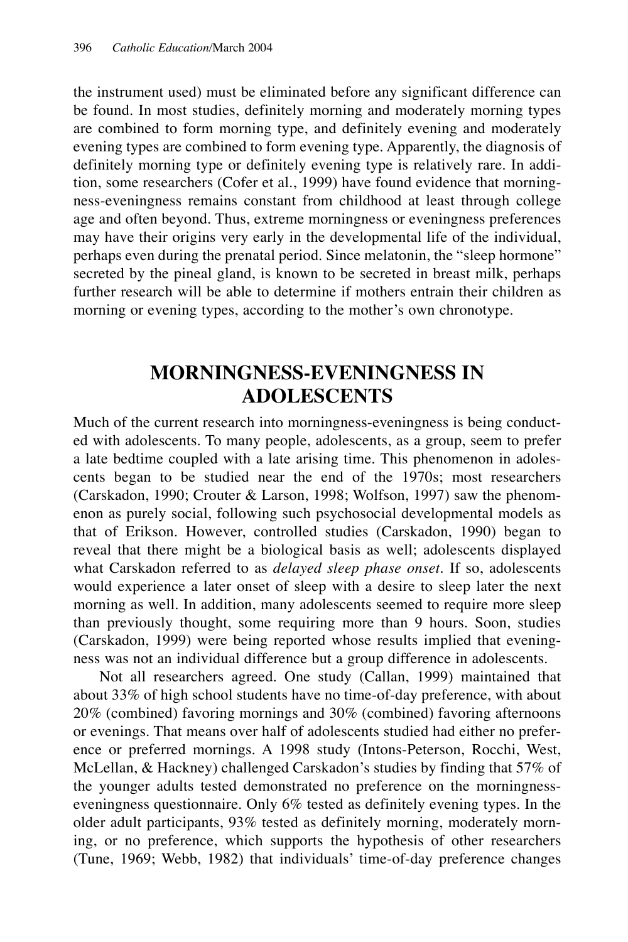the instrument used) must be eliminated before any significant difference can be found. In most studies, definitely morning and moderately morning types are combined to form morning type, and definitely evening and moderately evening types are combined to form evening type. Apparently, the diagnosis of definitely morning type or definitely evening type is relatively rare. In addition, some researchers (Cofer et al., 1999) have found evidence that morningness-eveningness remains constant from childhood at least through college age and often beyond. Thus, extreme morningness or eveningness preferences may have their origins very early in the developmental life of the individual, perhaps even during the prenatal period. Since melatonin, the "sleep hormone" secreted by the pineal gland, is known to be secreted in breast milk, perhaps further research will be able to determine if mothers entrain their children as morning or evening types, according to the mother's own chronotype.

#### **MORNINGNESS-EVENINGNESS IN ADOLESCENTS**

Much of the current research into morningness-eveningness is being conducted with adolescents. To many people, adolescents, as a group, seem to prefer a late bedtime coupled with a late arising time. This phenomenon in adolescents began to be studied near the end of the 1970s; most researchers (Carskadon, 1990; Crouter & Larson, 1998; Wolfson, 1997) saw the phenomenon as purely social, following such psychosocial developmental models as that of Erikson. However, controlled studies (Carskadon, 1990) began to reveal that there might be a biological basis as well; adolescents displayed what Carskadon referred to as *delayed sleep phase onset*. If so, adolescents would experience a later onset of sleep with a desire to sleep later the next morning as well. In addition, many adolescents seemed to require more sleep than previously thought, some requiring more than 9 hours. Soon, studies (Carskadon, 1999) were being reported whose results implied that eveningness was not an individual difference but a group difference in adolescents.

Not all researchers agreed. One study (Callan, 1999) maintained that about 33% of high school students have no time-of-day preference, with about 20% (combined) favoring mornings and 30% (combined) favoring afternoons or evenings. That means over half of adolescents studied had either no preference or preferred mornings. A 1998 study (Intons-Peterson, Rocchi, West, McLellan, & Hackney) challenged Carskadon's studies by finding that 57% of the younger adults tested demonstrated no preference on the morningnesseveningness questionnaire. Only 6% tested as definitely evening types. In the older adult participants, 93% tested as definitely morning, moderately morning, or no preference, which supports the hypothesis of other researchers (Tune, 1969; Webb, 1982) that individuals' time-of-day preference changes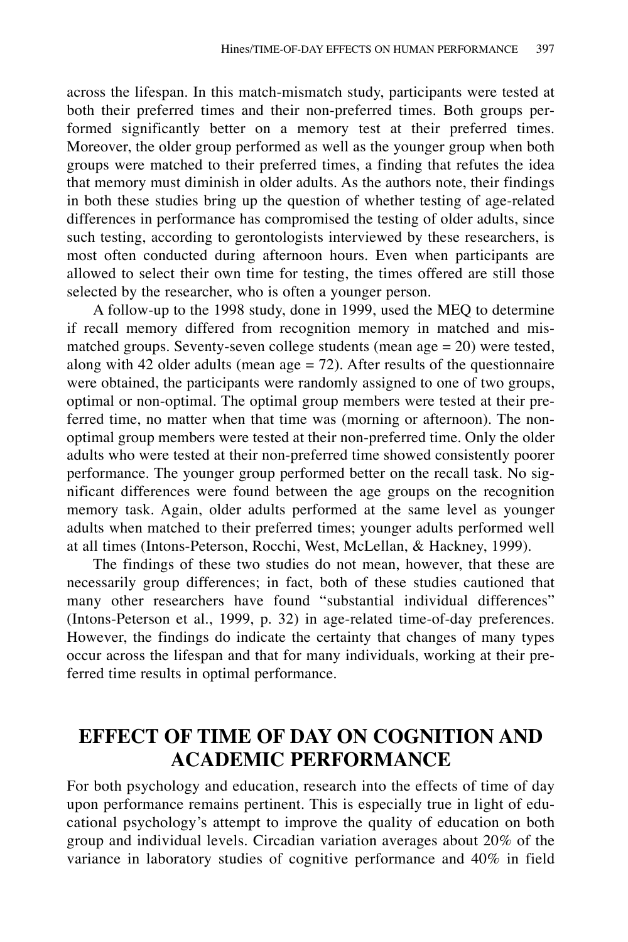across the lifespan. In this match-mismatch study, participants were tested at both their preferred times and their non-preferred times. Both groups performed significantly better on a memory test at their preferred times. Moreover, the older group performed as well as the younger group when both groups were matched to their preferred times, a finding that refutes the idea that memory must diminish in older adults. As the authors note, their findings in both these studies bring up the question of whether testing of age-related differences in performance has compromised the testing of older adults, since such testing, according to gerontologists interviewed by these researchers, is most often conducted during afternoon hours. Even when participants are allowed to select their own time for testing, the times offered are still those selected by the researcher, who is often a younger person.

A follow-up to the 1998 study, done in 1999, used the MEQ to determine if recall memory differed from recognition memory in matched and mismatched groups. Seventy-seven college students (mean age = 20) were tested, along with 42 older adults (mean  $age = 72$ ). After results of the questionnaire were obtained, the participants were randomly assigned to one of two groups, optimal or non-optimal. The optimal group members were tested at their preferred time, no matter when that time was (morning or afternoon). The nonoptimal group members were tested at their non-preferred time. Only the older adults who were tested at their non-preferred time showed consistently poorer performance. The younger group performed better on the recall task. No significant differences were found between the age groups on the recognition memory task. Again, older adults performed at the same level as younger adults when matched to their preferred times; younger adults performed well at all times (Intons-Peterson, Rocchi, West, McLellan, & Hackney, 1999).

The findings of these two studies do not mean, however, that these are necessarily group differences; in fact, both of these studies cautioned that many other researchers have found "substantial individual differences" (Intons-Peterson et al., 1999, p. 32) in age-related time-of-day preferences. However, the findings do indicate the certainty that changes of many types occur across the lifespan and that for many individuals, working at their preferred time results in optimal performance.

### **EFFECT OF TIME OF DAY ON COGNITION AND ACADEMIC PERFORMANCE**

For both psychology and education, research into the effects of time of day upon performance remains pertinent. This is especially true in light of educational psychology's attempt to improve the quality of education on both group and individual levels. Circadian variation averages about 20% of the variance in laboratory studies of cognitive performance and 40% in field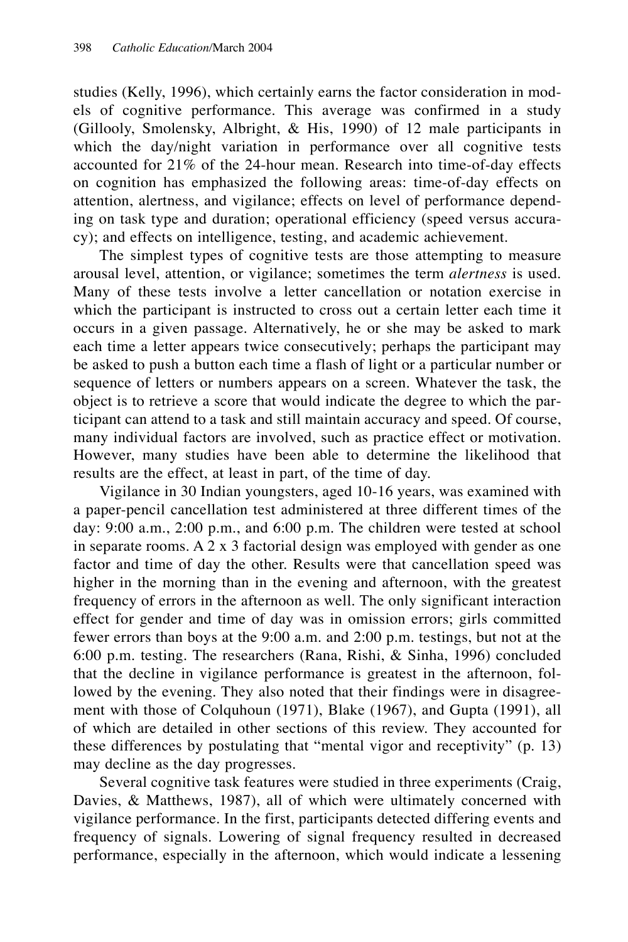studies (Kelly, 1996), which certainly earns the factor consideration in models of cognitive performance. This average was confirmed in a study (Gillooly, Smolensky, Albright, & His, 1990) of 12 male participants in which the day/night variation in performance over all cognitive tests accounted for 21% of the 24-hour mean. Research into time-of-day effects on cognition has emphasized the following areas: time-of-day effects on attention, alertness, and vigilance; effects on level of performance depending on task type and duration; operational efficiency (speed versus accuracy); and effects on intelligence, testing, and academic achievement.

The simplest types of cognitive tests are those attempting to measure arousal level, attention, or vigilance; sometimes the term *alertness* is used. Many of these tests involve a letter cancellation or notation exercise in which the participant is instructed to cross out a certain letter each time it occurs in a given passage. Alternatively, he or she may be asked to mark each time a letter appears twice consecutively; perhaps the participant may be asked to push a button each time a flash of light or a particular number or sequence of letters or numbers appears on a screen. Whatever the task, the object is to retrieve a score that would indicate the degree to which the participant can attend to a task and still maintain accuracy and speed. Of course, many individual factors are involved, such as practice effect or motivation. However, many studies have been able to determine the likelihood that results are the effect, at least in part, of the time of day.

Vigilance in 30 Indian youngsters, aged 10-16 years, was examined with a paper-pencil cancellation test administered at three different times of the day: 9:00 a.m., 2:00 p.m., and 6:00 p.m. The children were tested at school in separate rooms. A 2 x 3 factorial design was employed with gender as one factor and time of day the other. Results were that cancellation speed was higher in the morning than in the evening and afternoon, with the greatest frequency of errors in the afternoon as well. The only significant interaction effect for gender and time of day was in omission errors; girls committed fewer errors than boys at the 9:00 a.m. and 2:00 p.m. testings, but not at the 6:00 p.m. testing. The researchers (Rana, Rishi, & Sinha, 1996) concluded that the decline in vigilance performance is greatest in the afternoon, followed by the evening. They also noted that their findings were in disagreement with those of Colquhoun (1971), Blake (1967), and Gupta (1991), all of which are detailed in other sections of this review. They accounted for these differences by postulating that "mental vigor and receptivity" (p. 13) may decline as the day progresses.

Several cognitive task features were studied in three experiments (Craig, Davies, & Matthews, 1987), all of which were ultimately concerned with vigilance performance. In the first, participants detected differing events and frequency of signals. Lowering of signal frequency resulted in decreased performance, especially in the afternoon, which would indicate a lessening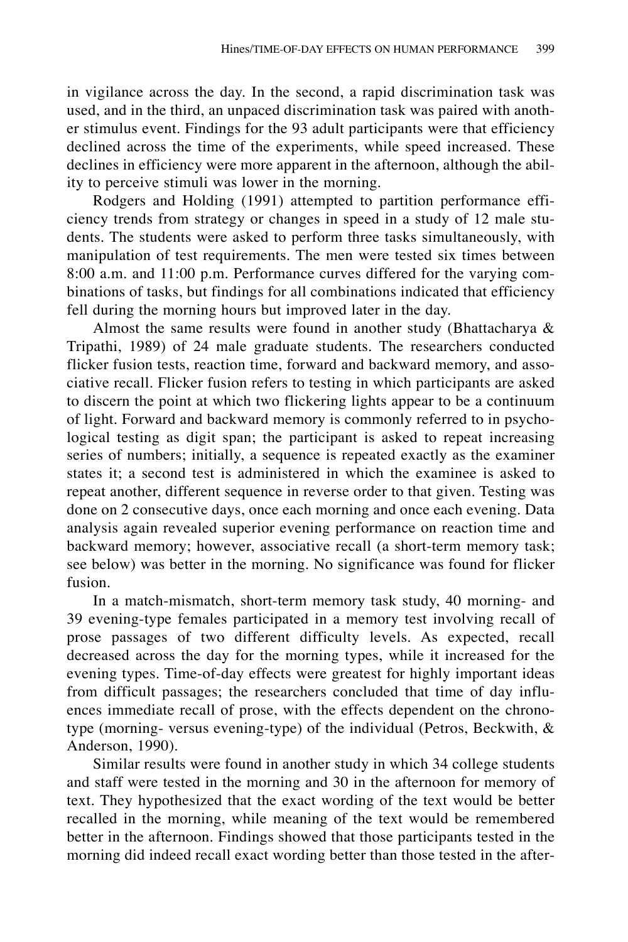in vigilance across the day. In the second, a rapid discrimination task was used, and in the third, an unpaced discrimination task was paired with another stimulus event. Findings for the 93 adult participants were that efficiency declined across the time of the experiments, while speed increased. These declines in efficiency were more apparent in the afternoon, although the ability to perceive stimuli was lower in the morning.

Rodgers and Holding (1991) attempted to partition performance efficiency trends from strategy or changes in speed in a study of 12 male students. The students were asked to perform three tasks simultaneously, with manipulation of test requirements. The men were tested six times between 8:00 a.m. and 11:00 p.m. Performance curves differed for the varying combinations of tasks, but findings for all combinations indicated that efficiency fell during the morning hours but improved later in the day.

Almost the same results were found in another study (Bhattacharya & Tripathi, 1989) of 24 male graduate students. The researchers conducted flicker fusion tests, reaction time, forward and backward memory, and associative recall. Flicker fusion refers to testing in which participants are asked to discern the point at which two flickering lights appear to be a continuum of light. Forward and backward memory is commonly referred to in psychological testing as digit span; the participant is asked to repeat increasing series of numbers; initially, a sequence is repeated exactly as the examiner states it; a second test is administered in which the examinee is asked to repeat another, different sequence in reverse order to that given. Testing was done on 2 consecutive days, once each morning and once each evening. Data analysis again revealed superior evening performance on reaction time and backward memory; however, associative recall (a short-term memory task; see below) was better in the morning. No significance was found for flicker fusion.

In a match-mismatch, short-term memory task study, 40 morning- and 39 evening-type females participated in a memory test involving recall of prose passages of two different difficulty levels. As expected, recall decreased across the day for the morning types, while it increased for the evening types. Time-of-day effects were greatest for highly important ideas from difficult passages; the researchers concluded that time of day influences immediate recall of prose, with the effects dependent on the chronotype (morning- versus evening-type) of the individual (Petros, Beckwith, & Anderson, 1990).

Similar results were found in another study in which 34 college students and staff were tested in the morning and 30 in the afternoon for memory of text. They hypothesized that the exact wording of the text would be better recalled in the morning, while meaning of the text would be remembered better in the afternoon. Findings showed that those participants tested in the morning did indeed recall exact wording better than those tested in the after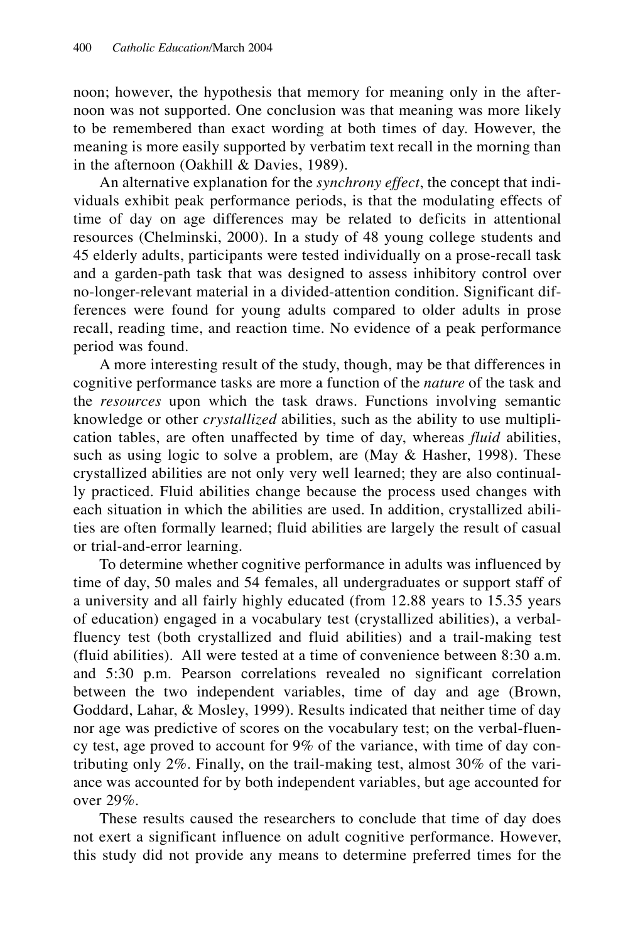noon; however, the hypothesis that memory for meaning only in the afternoon was not supported. One conclusion was that meaning was more likely to be remembered than exact wording at both times of day. However, the meaning is more easily supported by verbatim text recall in the morning than in the afternoon (Oakhill & Davies, 1989).

An alternative explanation for the *synchrony effect*, the concept that individuals exhibit peak performance periods, is that the modulating effects of time of day on age differences may be related to deficits in attentional resources (Chelminski, 2000). In a study of 48 young college students and 45 elderly adults, participants were tested individually on a prose-recall task and a garden-path task that was designed to assess inhibitory control over no-longer-relevant material in a divided-attention condition. Significant differences were found for young adults compared to older adults in prose recall, reading time, and reaction time. No evidence of a peak performance period was found.

A more interesting result of the study, though, may be that differences in cognitive performance tasks are more a function of the *nature* of the task and the *resources* upon which the task draws. Functions involving semantic knowledge or other *crystallized* abilities, such as the ability to use multiplication tables, are often unaffected by time of day, whereas *fluid* abilities, such as using logic to solve a problem, are (May & Hasher, 1998). These crystallized abilities are not only very well learned; they are also continually practiced. Fluid abilities change because the process used changes with each situation in which the abilities are used. In addition, crystallized abilities are often formally learned; fluid abilities are largely the result of casual or trial-and-error learning.

To determine whether cognitive performance in adults was influenced by time of day, 50 males and 54 females, all undergraduates or support staff of a university and all fairly highly educated (from 12.88 years to 15.35 years of education) engaged in a vocabulary test (crystallized abilities), a verbalfluency test (both crystallized and fluid abilities) and a trail-making test (fluid abilities). All were tested at a time of convenience between 8:30 a.m. and 5:30 p.m. Pearson correlations revealed no significant correlation between the two independent variables, time of day and age (Brown, Goddard, Lahar, & Mosley, 1999). Results indicated that neither time of day nor age was predictive of scores on the vocabulary test; on the verbal-fluency test, age proved to account for 9% of the variance, with time of day contributing only 2%. Finally, on the trail-making test, almost 30% of the variance was accounted for by both independent variables, but age accounted for over 29%.

These results caused the researchers to conclude that time of day does not exert a significant influence on adult cognitive performance. However, this study did not provide any means to determine preferred times for the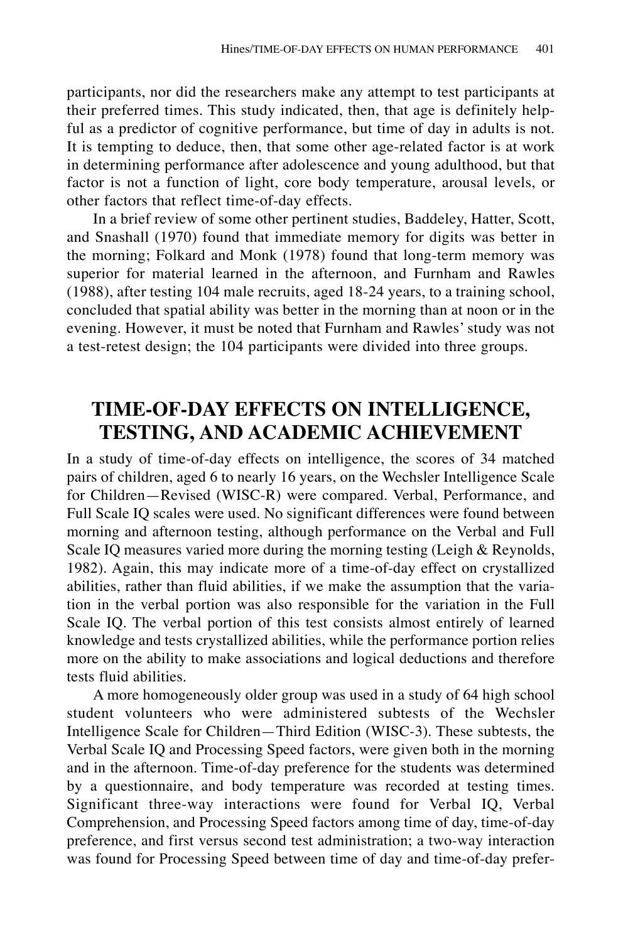participants, nor did the researchers make any attempt to test participants at their preferred times. This study indicated, then, that age is definitely helpful as a predictor of cognitive performance, but time of day in adults is not. It is tempting to deduce, then, that some other age-related factor is at work in determining performance after adolescence and young adulthood, but that factor is not a function of light, core body temperature, arousal levels, or other factors that reflect time-of-day effects.

In a brief review of some other pertinent studies, Baddeley, Hatter, Scott, and Snashall (1970) found that immediate memory for digits was better in the morning; Folkard and Monk (1978) found that long-term memory was superior for material learned in the afternoon, and Furnham and Rawles (1988), after testing 104 male recruits, aged 18-24 years, to a training school, concluded that spatial ability was better in the morning than at noon or in the evening. However, it must be noted that Furnham and Rawles' study was not a test-retest design; the 104 participants were divided into three groups.

## **TIME-OF-DAY EFFECTS ON INTELLIGENCE, TESTING, AND ACADEMIC ACHIEVEMENT**

In a study of time-of-day effects on intelligence, the scores of 34 matched pairs of children, aged 6 to nearly 16 years, on the Wechsler Intelligence Scale for Children—Revised (WISC-R) were compared. Verbal, Performance, and Full Scale IQ scales were used. No significant differences were found between morning and afternoon testing, although performance on the Verbal and Full Scale IQ measures varied more during the morning testing (Leigh & Reynolds, 1982). Again, this may indicate more of a time-of-day effect on crystallized abilities, rather than fluid abilities, if we make the assumption that the variation in the verbal portion was also responsible for the variation in the Full Scale IQ. The verbal portion of this test consists almost entirely of learned knowledge and tests crystallized abilities, while the performance portion relies more on the ability to make associations and logical deductions and therefore tests fluid abilities.

A more homogeneously older group was used in a study of 64 high school student volunteers who were administered subtests of the Wechsler Intelligence Scale for Children—Third Edition (WISC-3). These subtests, the Verbal Scale IQ and Processing Speed factors, were given both in the morning and in the afternoon. Time-of-day preference for the students was determined by a questionnaire, and body temperature was recorded at testing times. Significant three-way interactions were found for Verbal IQ, Verbal Comprehension, and Processing Speed factors among time of day, time-of-day preference, and first versus second test administration; a two-way interaction was found for Processing Speed between time of day and time-of-day prefer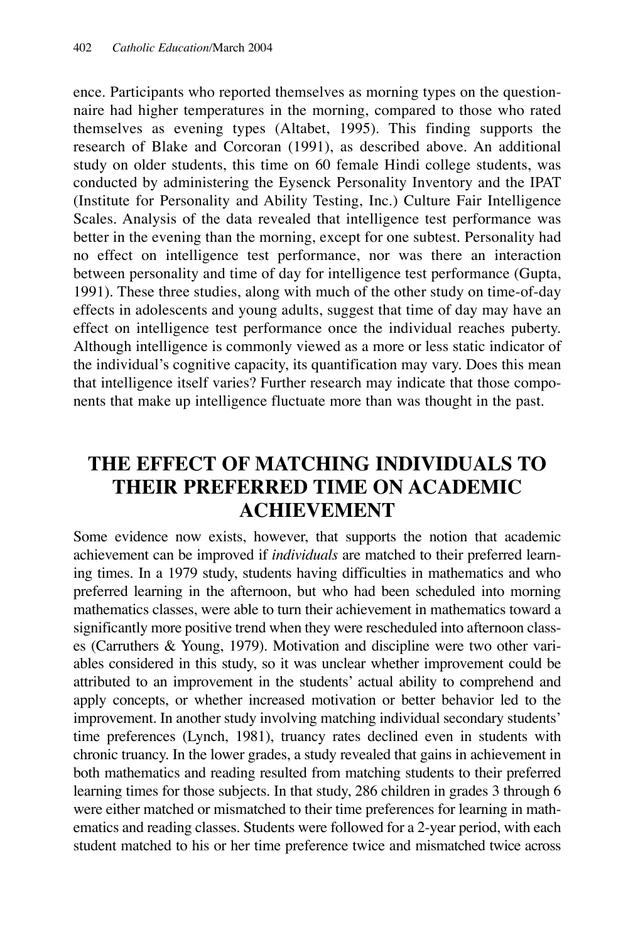ence. Participants who reported themselves as morning types on the questionnaire had higher temperatures in the morning, compared to those who rated themselves as evening types (Altabet, 1995). This finding supports the research of Blake and Corcoran (1991), as described above. An additional study on older students, this time on 60 female Hindi college students, was conducted by administering the Eysenck Personality Inventory and the IPAT (Institute for Personality and Ability Testing, Inc.) Culture Fair Intelligence Scales. Analysis of the data revealed that intelligence test performance was better in the evening than the morning, except for one subtest. Personality had no effect on intelligence test performance, nor was there an interaction between personality and time of day for intelligence test performance (Gupta, 1991). These three studies, along with much of the other study on time-of-day effects in adolescents and young adults, suggest that time of day may have an effect on intelligence test performance once the individual reaches puberty. Although intelligence is commonly viewed as a more or less static indicator of the individual's cognitive capacity, its quantification may vary. Does this mean that intelligence itself varies? Further research may indicate that those components that make up intelligence fluctuate more than was thought in the past.

### **THE EFFECT OF MATCHING INDIVIDUALS TO THEIR PREFERRED TIME ON ACADEMIC ACHIEVEMENT**

Some evidence now exists, however, that supports the notion that academic achievement can be improved if *individuals* are matched to their preferred learning times. In a 1979 study, students having difficulties in mathematics and who preferred learning in the afternoon, but who had been scheduled into morning mathematics classes, were able to turn their achievement in mathematics toward a significantly more positive trend when they were rescheduled into afternoon classes (Carruthers & Young, 1979). Motivation and discipline were two other variables considered in this study, so it was unclear whether improvement could be attributed to an improvement in the students' actual ability to comprehend and apply concepts, or whether increased motivation or better behavior led to the improvement. In another study involving matching individual secondary students' time preferences (Lynch, 1981), truancy rates declined even in students with chronic truancy. In the lower grades, a study revealed that gains in achievement in both mathematics and reading resulted from matching students to their preferred learning times for those subjects. In that study, 286 children in grades 3 through 6 were either matched or mismatched to their time preferences for learning in mathematics and reading classes. Students were followed for a 2-year period, with each student matched to his or her time preference twice and mismatched twice across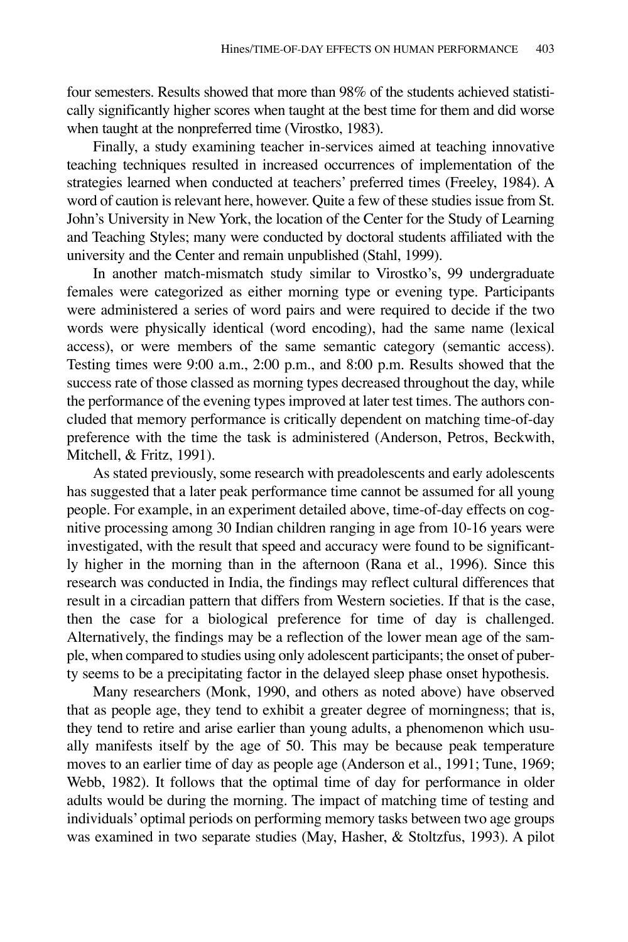four semesters. Results showed that more than 98% of the students achieved statistically significantly higher scores when taught at the best time for them and did worse when taught at the nonpreferred time (Virostko, 1983).

Finally, a study examining teacher in-services aimed at teaching innovative teaching techniques resulted in increased occurrences of implementation of the strategies learned when conducted at teachers' preferred times (Freeley, 1984). A word of caution is relevant here, however. Quite a few of these studies issue from St. John's University in New York, the location of the Center for the Study of Learning and Teaching Styles; many were conducted by doctoral students affiliated with the university and the Center and remain unpublished (Stahl, 1999).

In another match-mismatch study similar to Virostko's, 99 undergraduate females were categorized as either morning type or evening type. Participants were administered a series of word pairs and were required to decide if the two words were physically identical (word encoding), had the same name (lexical access), or were members of the same semantic category (semantic access). Testing times were 9:00 a.m., 2:00 p.m., and 8:00 p.m. Results showed that the success rate of those classed as morning types decreased throughout the day, while the performance of the evening types improved at later test times. The authors concluded that memory performance is critically dependent on matching time-of-day preference with the time the task is administered (Anderson, Petros, Beckwith, Mitchell, & Fritz, 1991).

As stated previously, some research with preadolescents and early adolescents has suggested that a later peak performance time cannot be assumed for all young people. For example, in an experiment detailed above, time-of-day effects on cognitive processing among 30 Indian children ranging in age from 10-16 years were investigated, with the result that speed and accuracy were found to be significantly higher in the morning than in the afternoon (Rana et al., 1996). Since this research was conducted in India, the findings may reflect cultural differences that result in a circadian pattern that differs from Western societies. If that is the case, then the case for a biological preference for time of day is challenged. Alternatively, the findings may be a reflection of the lower mean age of the sample, when compared to studies using only adolescent participants; the onset of puberty seems to be a precipitating factor in the delayed sleep phase onset hypothesis.

Many researchers (Monk, 1990, and others as noted above) have observed that as people age, they tend to exhibit a greater degree of morningness; that is, they tend to retire and arise earlier than young adults, a phenomenon which usually manifests itself by the age of 50. This may be because peak temperature moves to an earlier time of day as people age (Anderson et al., 1991; Tune, 1969; Webb, 1982). It follows that the optimal time of day for performance in older adults would be during the morning. The impact of matching time of testing and individuals' optimal periods on performing memory tasks between two age groups was examined in two separate studies (May, Hasher, & Stoltzfus, 1993). A pilot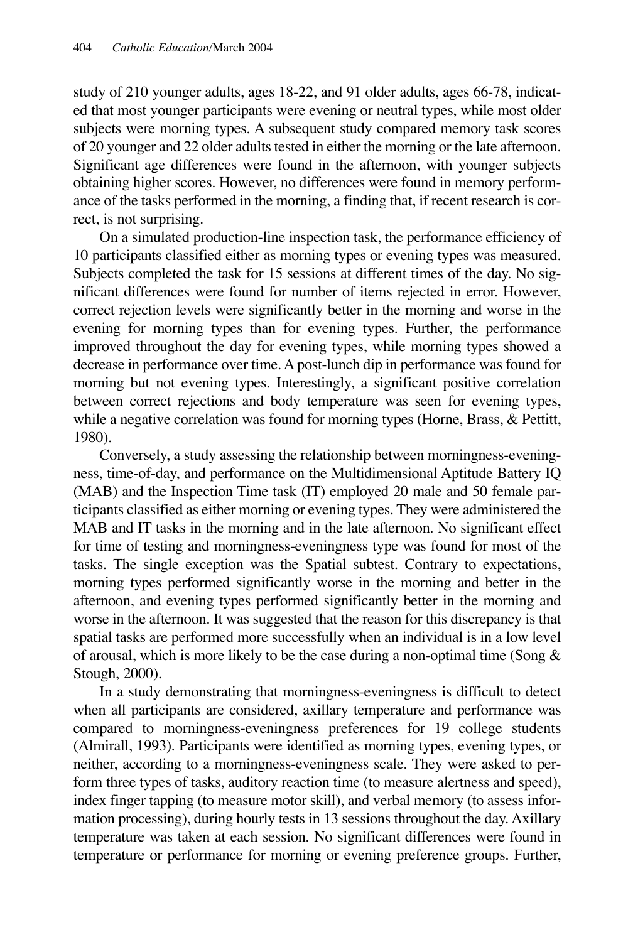study of 210 younger adults, ages 18-22, and 91 older adults, ages 66-78, indicated that most younger participants were evening or neutral types, while most older subjects were morning types. A subsequent study compared memory task scores of 20 younger and 22 older adults tested in either the morning or the late afternoon. Significant age differences were found in the afternoon, with younger subjects obtaining higher scores. However, no differences were found in memory performance of the tasks performed in the morning, a finding that, if recent research is correct, is not surprising.

On a simulated production-line inspection task, the performance efficiency of 10 participants classified either as morning types or evening types was measured. Subjects completed the task for 15 sessions at different times of the day. No significant differences were found for number of items rejected in error. However, correct rejection levels were significantly better in the morning and worse in the evening for morning types than for evening types. Further, the performance improved throughout the day for evening types, while morning types showed a decrease in performance over time. A post-lunch dip in performance was found for morning but not evening types. Interestingly, a significant positive correlation between correct rejections and body temperature was seen for evening types, while a negative correlation was found for morning types (Horne, Brass, & Pettitt, 1980).

Conversely, a study assessing the relationship between morningness-eveningness, time-of-day, and performance on the Multidimensional Aptitude Battery IQ (MAB) and the Inspection Time task (IT) employed 20 male and 50 female participants classified as either morning or evening types. They were administered the MAB and IT tasks in the morning and in the late afternoon. No significant effect for time of testing and morningness-eveningness type was found for most of the tasks. The single exception was the Spatial subtest. Contrary to expectations, morning types performed significantly worse in the morning and better in the afternoon, and evening types performed significantly better in the morning and worse in the afternoon. It was suggested that the reason for this discrepancy is that spatial tasks are performed more successfully when an individual is in a low level of arousal, which is more likely to be the case during a non-optimal time (Song  $\&$ Stough, 2000).

In a study demonstrating that morningness-eveningness is difficult to detect when all participants are considered, axillary temperature and performance was compared to morningness-eveningness preferences for 19 college students (Almirall, 1993). Participants were identified as morning types, evening types, or neither, according to a morningness-eveningness scale. They were asked to perform three types of tasks, auditory reaction time (to measure alertness and speed), index finger tapping (to measure motor skill), and verbal memory (to assess information processing), during hourly tests in 13 sessions throughout the day. Axillary temperature was taken at each session. No significant differences were found in temperature or performance for morning or evening preference groups. Further,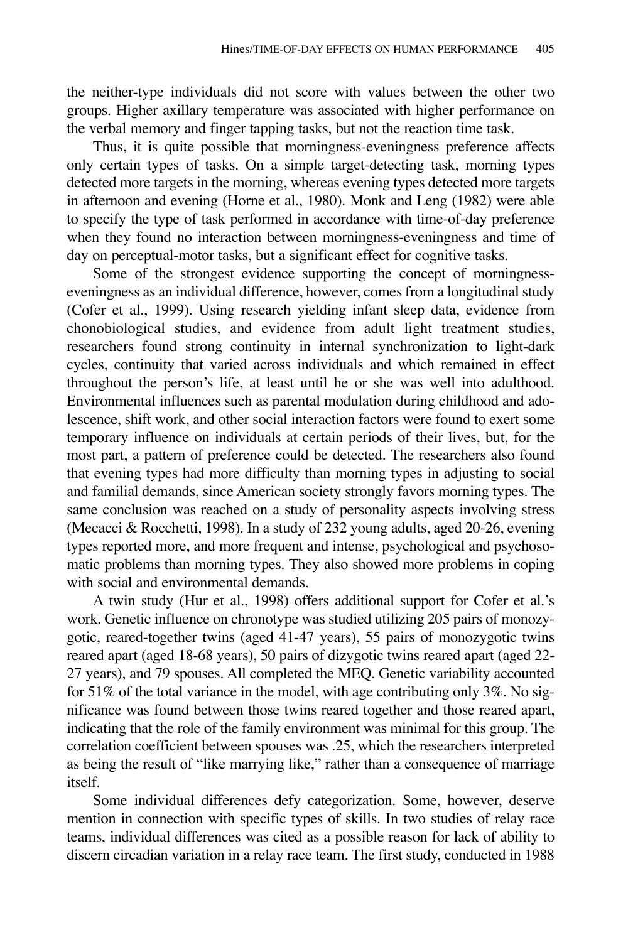the neither-type individuals did not score with values between the other two groups. Higher axillary temperature was associated with higher performance on the verbal memory and finger tapping tasks, but not the reaction time task.

Thus, it is quite possible that morningness-eveningness preference affects only certain types of tasks. On a simple target-detecting task, morning types detected more targets in the morning, whereas evening types detected more targets in afternoon and evening (Horne et al., 1980). Monk and Leng (1982) were able to specify the type of task performed in accordance with time-of-day preference when they found no interaction between morningness-eveningness and time of day on perceptual-motor tasks, but a significant effect for cognitive tasks.

Some of the strongest evidence supporting the concept of morningnesseveningness as an individual difference, however, comes from a longitudinal study (Cofer et al., 1999). Using research yielding infant sleep data, evidence from chonobiological studies, and evidence from adult light treatment studies, researchers found strong continuity in internal synchronization to light-dark cycles, continuity that varied across individuals and which remained in effect throughout the person's life, at least until he or she was well into adulthood. Environmental influences such as parental modulation during childhood and adolescence, shift work, and other social interaction factors were found to exert some temporary influence on individuals at certain periods of their lives, but, for the most part, a pattern of preference could be detected. The researchers also found that evening types had more difficulty than morning types in adjusting to social and familial demands, since American society strongly favors morning types. The same conclusion was reached on a study of personality aspects involving stress (Mecacci & Rocchetti, 1998). In a study of 232 young adults, aged 20-26, evening types reported more, and more frequent and intense, psychological and psychosomatic problems than morning types. They also showed more problems in coping with social and environmental demands.

A twin study (Hur et al., 1998) offers additional support for Cofer et al.'s work. Genetic influence on chronotype was studied utilizing 205 pairs of monozygotic, reared-together twins (aged 41-47 years), 55 pairs of monozygotic twins reared apart (aged 18-68 years), 50 pairs of dizygotic twins reared apart (aged 22- 27 years), and 79 spouses. All completed the MEQ. Genetic variability accounted for 51% of the total variance in the model, with age contributing only  $3\%$ . No significance was found between those twins reared together and those reared apart, indicating that the role of the family environment was minimal for this group. The correlation coefficient between spouses was .25, which the researchers interpreted as being the result of "like marrying like," rather than a consequence of marriage itself.

Some individual differences defy categorization. Some, however, deserve mention in connection with specific types of skills. In two studies of relay race teams, individual differences was cited as a possible reason for lack of ability to discern circadian variation in a relay race team. The first study, conducted in 1988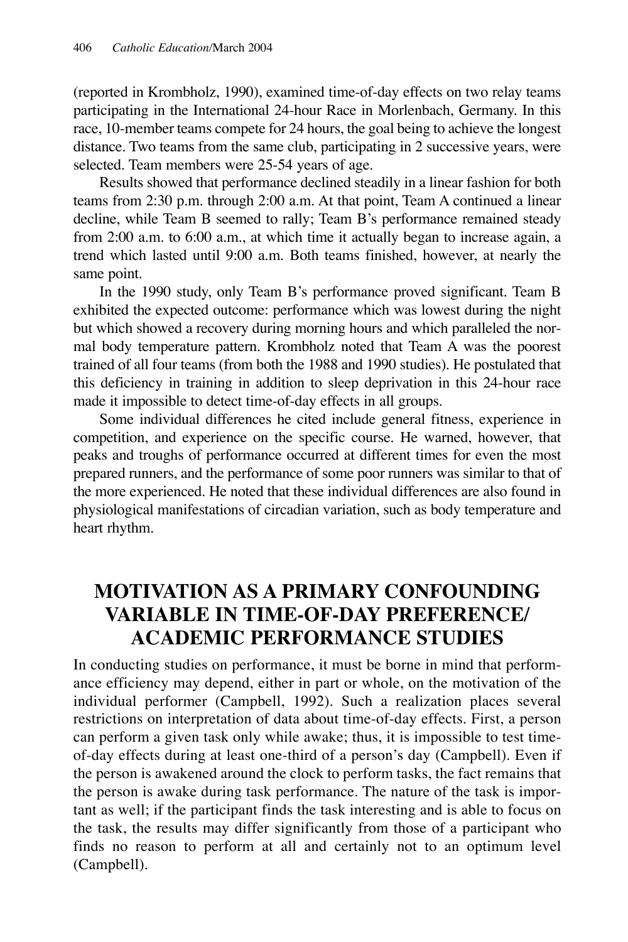(reported in Krombholz, 1990), examined time-of-day effects on two relay teams participating in the International 24-hour Race in Morlenbach, Germany. In this race, 10-member teams compete for 24 hours, the goal being to achieve the longest distance. Two teams from the same club, participating in 2 successive years, were selected. Team members were 25-54 years of age.

Results showed that performance declined steadily in a linear fashion for both teams from 2:30 p.m. through 2:00 a.m. At that point, Team A continued a linear decline, while Team B seemed to rally; Team B's performance remained steady from 2:00 a.m. to 6:00 a.m., at which time it actually began to increase again, a trend which lasted until 9:00 a.m. Both teams finished, however, at nearly the same point.

In the 1990 study, only Team B's performance proved significant. Team B exhibited the expected outcome: performance which was lowest during the night but which showed a recovery during morning hours and which paralleled the normal body temperature pattern. Krombholz noted that Team A was the poorest trained of all four teams (from both the 1988 and 1990 studies). He postulated that this deficiency in training in addition to sleep deprivation in this 24-hour race made it impossible to detect time-of-day effects in all groups.

Some individual differences he cited include general fitness, experience in competition, and experience on the specific course. He warned, however, that peaks and troughs of performance occurred at different times for even the most prepared runners, and the performance of some poor runners was similar to that of the more experienced. He noted that these individual differences are also found in physiological manifestations of circadian variation, such as body temperature and heart rhythm.

### **MOTIVATION AS A PRIMARY CONFOUNDING VARIABLE IN TIME-OF-DAY PREFERENCE/ ACADEMIC PERFORMANCE STUDIES**

In conducting studies on performance, it must be borne in mind that performance efficiency may depend, either in part or whole, on the motivation of the individual performer (Campbell, 1992). Such a realization places several restrictions on interpretation of data about time-of-day effects. First, a person can perform a given task only while awake; thus, it is impossible to test timeof-day effects during at least one-third of a person's day (Campbell). Even if the person is awakened around the clock to perform tasks, the fact remains that the person is awake during task performance. The nature of the task is important as well; if the participant finds the task interesting and is able to focus on the task, the results may differ significantly from those of a participant who finds no reason to perform at all and certainly not to an optimum level (Campbell).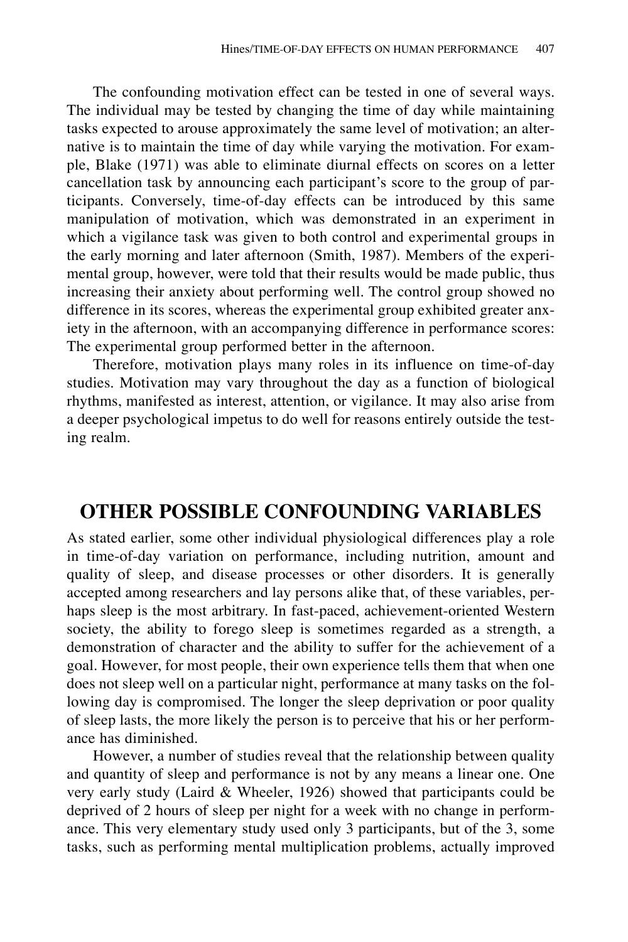The confounding motivation effect can be tested in one of several ways. The individual may be tested by changing the time of day while maintaining tasks expected to arouse approximately the same level of motivation; an alternative is to maintain the time of day while varying the motivation. For example, Blake (1971) was able to eliminate diurnal effects on scores on a letter cancellation task by announcing each participant's score to the group of participants. Conversely, time-of-day effects can be introduced by this same manipulation of motivation, which was demonstrated in an experiment in which a vigilance task was given to both control and experimental groups in the early morning and later afternoon (Smith, 1987). Members of the experimental group, however, were told that their results would be made public, thus increasing their anxiety about performing well. The control group showed no difference in its scores, whereas the experimental group exhibited greater anxiety in the afternoon, with an accompanying difference in performance scores: The experimental group performed better in the afternoon.

Therefore, motivation plays many roles in its influence on time-of-day studies. Motivation may vary throughout the day as a function of biological rhythms, manifested as interest, attention, or vigilance. It may also arise from a deeper psychological impetus to do well for reasons entirely outside the testing realm.

#### **OTHER POSSIBLE CONFOUNDING VARIABLES**

As stated earlier, some other individual physiological differences play a role in time-of-day variation on performance, including nutrition, amount and quality of sleep, and disease processes or other disorders. It is generally accepted among researchers and lay persons alike that, of these variables, perhaps sleep is the most arbitrary. In fast-paced, achievement-oriented Western society, the ability to forego sleep is sometimes regarded as a strength, a demonstration of character and the ability to suffer for the achievement of a goal. However, for most people, their own experience tells them that when one does not sleep well on a particular night, performance at many tasks on the following day is compromised. The longer the sleep deprivation or poor quality of sleep lasts, the more likely the person is to perceive that his or her performance has diminished.

However, a number of studies reveal that the relationship between quality and quantity of sleep and performance is not by any means a linear one. One very early study (Laird & Wheeler, 1926) showed that participants could be deprived of 2 hours of sleep per night for a week with no change in performance. This very elementary study used only 3 participants, but of the 3, some tasks, such as performing mental multiplication problems, actually improved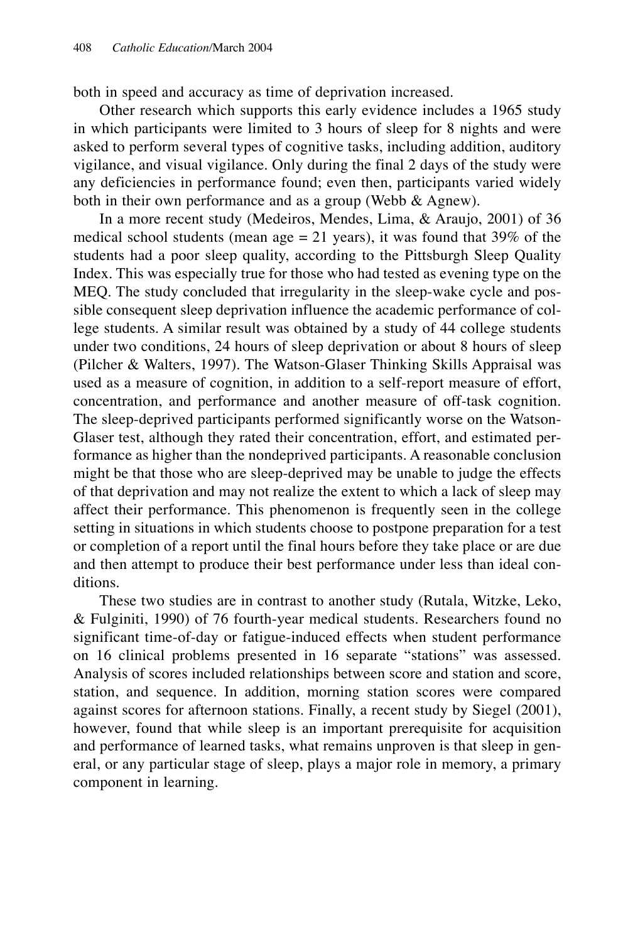both in speed and accuracy as time of deprivation increased.

Other research which supports this early evidence includes a 1965 study in which participants were limited to 3 hours of sleep for 8 nights and were asked to perform several types of cognitive tasks, including addition, auditory vigilance, and visual vigilance. Only during the final 2 days of the study were any deficiencies in performance found; even then, participants varied widely both in their own performance and as a group (Webb & Agnew).

In a more recent study (Medeiros, Mendes, Lima, & Araujo, 2001) of 36 medical school students (mean age  $= 21$  years), it was found that 39% of the students had a poor sleep quality, according to the Pittsburgh Sleep Quality Index. This was especially true for those who had tested as evening type on the MEQ. The study concluded that irregularity in the sleep-wake cycle and possible consequent sleep deprivation influence the academic performance of college students. A similar result was obtained by a study of 44 college students under two conditions, 24 hours of sleep deprivation or about 8 hours of sleep (Pilcher & Walters, 1997). The Watson-Glaser Thinking Skills Appraisal was used as a measure of cognition, in addition to a self-report measure of effort, concentration, and performance and another measure of off-task cognition. The sleep-deprived participants performed significantly worse on the Watson-Glaser test, although they rated their concentration, effort, and estimated performance as higher than the nondeprived participants. A reasonable conclusion might be that those who are sleep-deprived may be unable to judge the effects of that deprivation and may not realize the extent to which a lack of sleep may affect their performance. This phenomenon is frequently seen in the college setting in situations in which students choose to postpone preparation for a test or completion of a report until the final hours before they take place or are due and then attempt to produce their best performance under less than ideal conditions.

These two studies are in contrast to another study (Rutala, Witzke, Leko, & Fulginiti, 1990) of 76 fourth-year medical students. Researchers found no significant time-of-day or fatigue-induced effects when student performance on 16 clinical problems presented in 16 separate "stations" was assessed. Analysis of scores included relationships between score and station and score, station, and sequence. In addition, morning station scores were compared against scores for afternoon stations. Finally, a recent study by Siegel (2001), however, found that while sleep is an important prerequisite for acquisition and performance of learned tasks, what remains unproven is that sleep in general, or any particular stage of sleep, plays a major role in memory, a primary component in learning.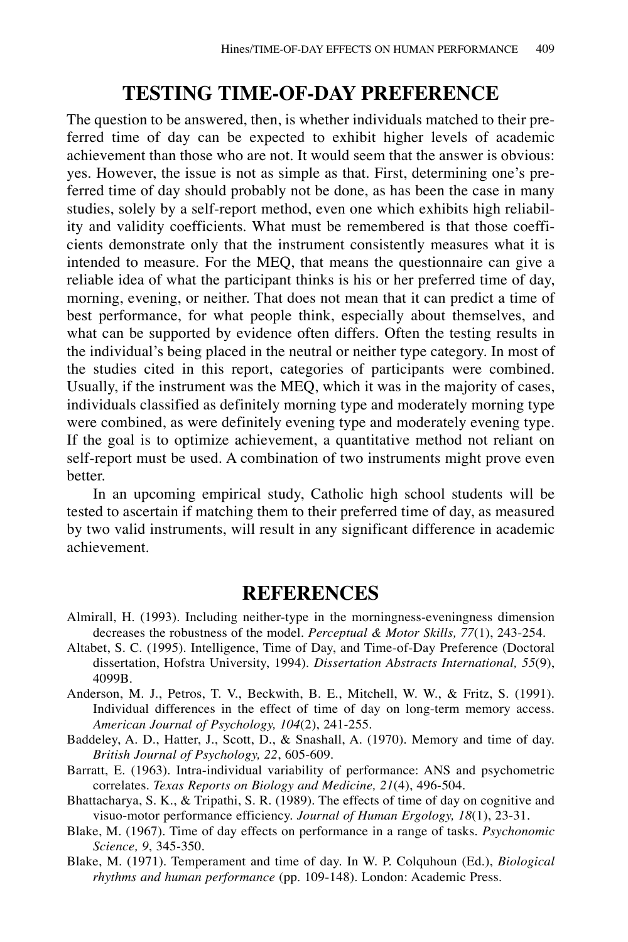#### **TESTING TIME-OF-DAY PREFERENCE**

The question to be answered, then, is whether individuals matched to their preferred time of day can be expected to exhibit higher levels of academic achievement than those who are not. It would seem that the answer is obvious: yes. However, the issue is not as simple as that. First, determining one's preferred time of day should probably not be done, as has been the case in many studies, solely by a self-report method, even one which exhibits high reliability and validity coefficients. What must be remembered is that those coefficients demonstrate only that the instrument consistently measures what it is intended to measure. For the MEQ, that means the questionnaire can give a reliable idea of what the participant thinks is his or her preferred time of day, morning, evening, or neither. That does not mean that it can predict a time of best performance, for what people think, especially about themselves, and what can be supported by evidence often differs. Often the testing results in the individual's being placed in the neutral or neither type category. In most of the studies cited in this report, categories of participants were combined. Usually, if the instrument was the MEQ, which it was in the majority of cases, individuals classified as definitely morning type and moderately morning type were combined, as were definitely evening type and moderately evening type. If the goal is to optimize achievement, a quantitative method not reliant on self-report must be used. A combination of two instruments might prove even better.

In an upcoming empirical study, Catholic high school students will be tested to ascertain if matching them to their preferred time of day, as measured by two valid instruments, will result in any significant difference in academic achievement.

#### **REFERENCES**

- Almirall, H. (1993). Including neither-type in the morningness-eveningness dimension decreases the robustness of the model. *Perceptual & Motor Skills, 77*(1), 243-254.
- Altabet, S. C. (1995). Intelligence, Time of Day, and Time-of-Day Preference (Doctoral dissertation, Hofstra University, 1994). *Dissertation Abstracts International, 55*(9), 4099B.
- Anderson, M. J., Petros, T. V., Beckwith, B. E., Mitchell, W. W., & Fritz, S. (1991). Individual differences in the effect of time of day on long-term memory access. *American Journal of Psychology, 104*(2), 241-255.
- Baddeley, A. D., Hatter, J., Scott, D., & Snashall, A. (1970). Memory and time of day. *British Journal of Psychology, 22*, 605-609.
- Barratt, E. (1963). Intra-individual variability of performance: ANS and psychometric correlates. *Texas Reports on Biology and Medicine, 21*(4), 496-504.
- Bhattacharya, S. K., & Tripathi, S. R. (1989). The effects of time of day on cognitive and visuo-motor performance efficiency. *Journal of Human Ergology, 18*(1), 23-31.
- Blake, M. (1967). Time of day effects on performance in a range of tasks. *Psychonomic Science, 9*, 345-350.
- Blake, M. (1971). Temperament and time of day. In W. P. Colquhoun (Ed.), *Biological rhythms and human performance* (pp. 109-148). London: Academic Press.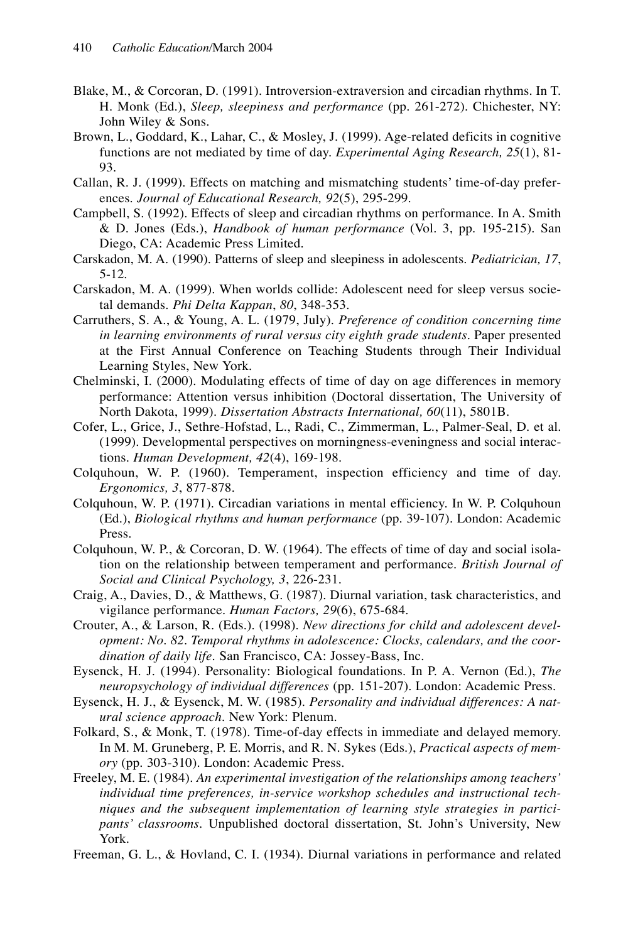- Blake, M., & Corcoran, D. (1991). Introversion-extraversion and circadian rhythms. In T. H. Monk (Ed.), *Sleep, sleepiness and performance* (pp. 261-272). Chichester, NY: John Wiley & Sons.
- Brown, L., Goddard, K., Lahar, C., & Mosley, J. (1999). Age-related deficits in cognitive functions are not mediated by time of day. *Experimental Aging Research, 25*(1), 81- 93.
- Callan, R. J. (1999). Effects on matching and mismatching students' time-of-day preferences. *Journal of Educational Research, 92*(5), 295-299.
- Campbell, S. (1992). Effects of sleep and circadian rhythms on performance. In A. Smith & D. Jones (Eds.), *Handbook of human performance* (Vol. 3, pp. 195-215). San Diego, CA: Academic Press Limited.
- Carskadon, M. A. (1990). Patterns of sleep and sleepiness in adolescents. *Pediatrician, 17*, 5-12.
- Carskadon, M. A. (1999). When worlds collide: Adolescent need for sleep versus societal demands. *Phi Delta Kappan*, *80*, 348-353.
- Carruthers, S. A., & Young, A. L. (1979, July). *Preference of condition concerning time in learning environments of rural versus city eighth grade students.* Paper presented at the First Annual Conference on Teaching Students through Their Individual Learning Styles, New York.
- Chelminski, I. (2000). Modulating effects of time of day on age differences in memory performance: Attention versus inhibition (Doctoral dissertation, The University of North Dakota, 1999). *Dissertation Abstracts International, 60*(11), 5801B.
- Cofer, L., Grice, J., Sethre-Hofstad, L., Radi, C., Zimmerman, L., Palmer-Seal, D. et al. (1999). Developmental perspectives on morningness-eveningness and social interactions. *Human Development, 42*(4), 169-198.
- Colquhoun, W. P. (1960). Temperament, inspection efficiency and time of day. *Ergonomics, 3*, 877-878.
- Colquhoun, W. P. (1971). Circadian variations in mental efficiency. In W. P. Colquhoun (Ed.), *Biological rhythms and human performance* (pp. 39-107). London: Academic Press.
- Colquhoun, W. P., & Corcoran, D. W. (1964). The effects of time of day and social isolation on the relationship between temperament and performance. *British Journal of Social and Clinical Psychology, 3*, 226-231.
- Craig, A., Davies, D., & Matthews, G. (1987). Diurnal variation, task characteristics, and vigilance performance. *Human Factors, 29*(6), 675-684.
- Crouter, A., & Larson, R. (Eds.). (1998). *New directions for child and adolescent development: No. 82. Temporal rhythms in adolescence: Clocks, calendars, and the coordination of daily life*. San Francisco, CA: Jossey-Bass, Inc.
- Eysenck, H. J. (1994). Personality: Biological foundations. In P. A. Vernon (Ed.), *The neuropsychology of individual differences* (pp. 151-207). London: Academic Press.
- Eysenck, H. J., & Eysenck, M. W. (1985). *Personality and individual differences: A natural science approach*. New York: Plenum.
- Folkard, S., & Monk, T. (1978). Time-of-day effects in immediate and delayed memory. In M. M. Gruneberg, P. E. Morris, and R. N. Sykes (Eds.), *Practical aspects of memory* (pp. 303-310). London: Academic Press.
- Freeley, M. E. (1984). *An experimental investigation of the relationships among teachers' individual time preferences, in-service workshop schedules and instructional techniques and the subsequent implementation of learning style strategies in participants' classrooms.* Unpublished doctoral dissertation, St. John's University, New York.
- Freeman, G. L., & Hovland, C. I. (1934). Diurnal variations in performance and related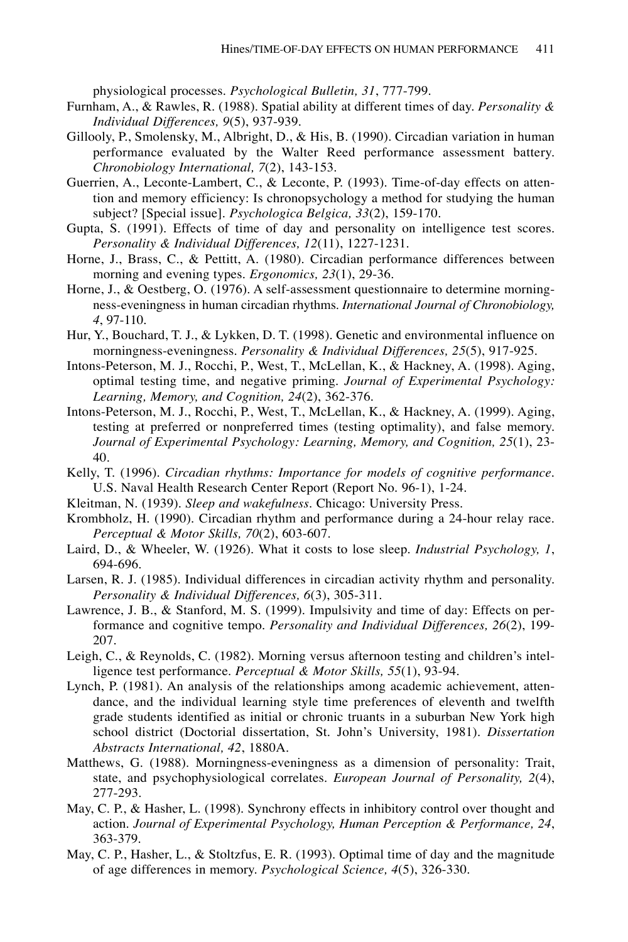physiological processes. *Psychological Bulletin, 31*, 777-799.

- Furnham, A., & Rawles, R. (1988). Spatial ability at different times of day. *Personality & Individual Differences, 9*(5), 937-939.
- Gillooly, P., Smolensky, M., Albright, D., & His, B. (1990). Circadian variation in human performance evaluated by the Walter Reed performance assessment battery. *Chronobiology International, 7*(2), 143-153.
- Guerrien, A., Leconte-Lambert, C., & Leconte, P. (1993). Time-of-day effects on attention and memory efficiency: Is chronopsychology a method for studying the human subject? [Special issue]. *Psychologica Belgica, 33*(2), 159-170.
- Gupta, S. (1991). Effects of time of day and personality on intelligence test scores. *Personality & Individual Differences, 12*(11), 1227-1231.
- Horne, J., Brass, C., & Pettitt, A. (1980). Circadian performance differences between morning and evening types. *Ergonomics, 23*(1), 29-36.
- Horne, J., & Oestberg, O. (1976). A self-assessment questionnaire to determine morningness-eveningness in human circadian rhythms. *International Journal of Chronobiology, 4*, 97-110.
- Hur, Y., Bouchard, T. J., & Lykken, D. T. (1998). Genetic and environmental influence on morningness-eveningness. *Personality & Individual Differences, 25*(5), 917-925.
- Intons-Peterson, M. J., Rocchi, P., West, T., McLellan, K., & Hackney, A. (1998). Aging, optimal testing time, and negative priming. *Journal of Experimental Psychology: Learning, Memory, and Cognition, 24*(2), 362-376.
- Intons-Peterson, M. J., Rocchi, P., West, T., McLellan, K., & Hackney, A. (1999). Aging, testing at preferred or nonpreferred times (testing optimality), and false memory. *Journal of Experimental Psychology: Learning, Memory, and Cognition, 25*(1), 23- 40.
- Kelly, T. (1996). *Circadian rhythms: Importance for models of cognitive performance*. U.S. Naval Health Research Center Report (Report No. 96-1), 1-24.
- Kleitman, N. (1939). *Sleep and wakefulness.* Chicago: University Press.
- Krombholz, H. (1990). Circadian rhythm and performance during a 24-hour relay race. *Perceptual & Motor Skills, 70*(2), 603-607.
- Laird, D., & Wheeler, W. (1926). What it costs to lose sleep. *Industrial Psychology, 1*, 694-696.
- Larsen, R. J. (1985). Individual differences in circadian activity rhythm and personality. *Personality & Individual Differences, 6*(3), 305-311.
- Lawrence, J. B., & Stanford, M. S. (1999). Impulsivity and time of day: Effects on performance and cognitive tempo. *Personality and Individual Differences, 26*(2), 199- 207.
- Leigh, C., & Reynolds, C. (1982). Morning versus afternoon testing and children's intelligence test performance. *Perceptual & Motor Skills, 55*(1), 93-94.
- Lynch, P. (1981). An analysis of the relationships among academic achievement, attendance, and the individual learning style time preferences of eleventh and twelfth grade students identified as initial or chronic truants in a suburban New York high school district (Doctorial dissertation, St. John's University, 1981). *Dissertation Abstracts International, 42*, 1880A.
- Matthews, G. (1988). Morningness-eveningness as a dimension of personality: Trait, state, and psychophysiological correlates. *European Journal of Personality, 2*(4), 277-293.
- May, C. P., & Hasher, L. (1998). Synchrony effects in inhibitory control over thought and action. *Journal of Experimental Psychology, Human Perception & Performance, 24*, 363-379.
- May, C. P., Hasher, L., & Stoltzfus, E. R. (1993). Optimal time of day and the magnitude of age differences in memory. *Psychological Science, 4*(5), 326-330.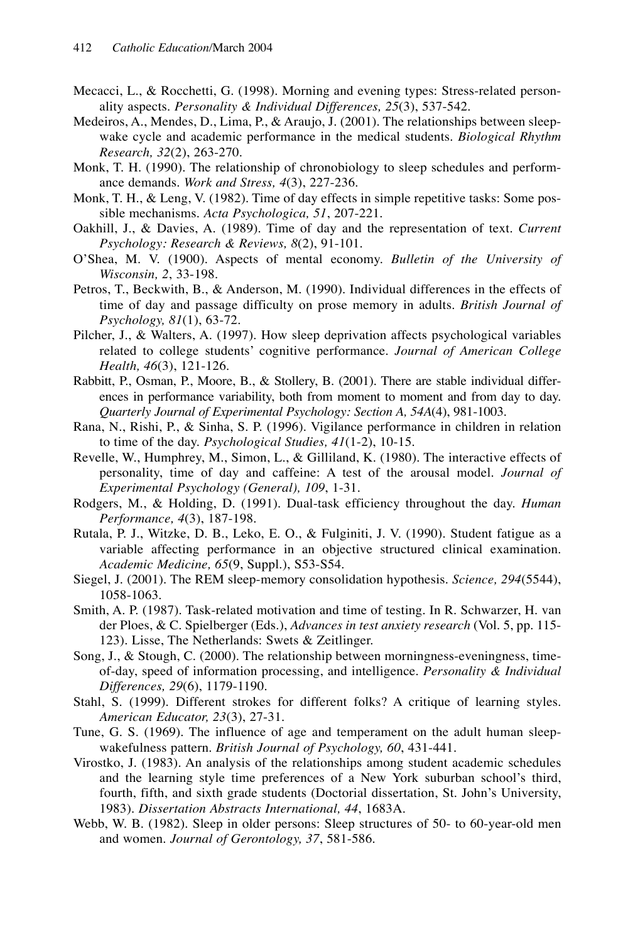- Mecacci, L., & Rocchetti, G. (1998). Morning and evening types: Stress-related personality aspects. *Personality & Individual Differences, 25*(3), 537-542.
- Medeiros, A., Mendes, D., Lima, P., & Araujo, J. (2001). The relationships between sleepwake cycle and academic performance in the medical students. *Biological Rhythm Research, 32*(2), 263-270.
- Monk, T. H. (1990). The relationship of chronobiology to sleep schedules and performance demands. *Work and Stress, 4*(3), 227-236.
- Monk, T. H., & Leng, V. (1982). Time of day effects in simple repetitive tasks: Some possible mechanisms. *Acta Psychologica, 51*, 207-221.
- Oakhill, J., & Davies, A. (1989). Time of day and the representation of text. *Current Psychology: Research & Reviews, 8*(2), 91-101.
- O'Shea, M. V. (1900). Aspects of mental economy. *Bulletin of the University of Wisconsin, 2*, 33-198.
- Petros, T., Beckwith, B., & Anderson, M. (1990). Individual differences in the effects of time of day and passage difficulty on prose memory in adults. *British Journal of Psychology, 81*(1), 63-72.
- Pilcher, J., & Walters, A. (1997). How sleep deprivation affects psychological variables related to college students' cognitive performance. *Journal of American College Health, 46*(3), 121-126.
- Rabbitt, P., Osman, P., Moore, B., & Stollery, B. (2001). There are stable individual differences in performance variability, both from moment to moment and from day to day. *Quarterly Journal of Experimental Psychology: Section A, 54A*(4), 981-1003.
- Rana, N., Rishi, P., & Sinha, S. P. (1996). Vigilance performance in children in relation to time of the day. *Psychological Studies, 41*(1-2), 10-15.
- Revelle, W., Humphrey, M., Simon, L., & Gilliland, K. (1980). The interactive effects of personality, time of day and caffeine: A test of the arousal model. *Journal of Experimental Psychology (General), 109*, 1-31.
- Rodgers, M., & Holding, D. (1991). Dual-task efficiency throughout the day. *Human Performance, 4*(3), 187-198.
- Rutala, P. J., Witzke, D. B., Leko, E. O., & Fulginiti, J. V. (1990). Student fatigue as a variable affecting performance in an objective structured clinical examination. *Academic Medicine, 65*(9, Suppl.), S53-S54.
- Siegel, J. (2001). The REM sleep-memory consolidation hypothesis. *Science, 294*(5544), 1058-1063.
- Smith, A. P. (1987). Task-related motivation and time of testing. In R. Schwarzer, H. van der Ploes, & C. Spielberger (Eds.), *Advances in test anxiety research* (Vol. 5, pp. 115- 123). Lisse, The Netherlands: Swets & Zeitlinger.
- Song, J., & Stough, C. (2000). The relationship between morningness-eveningness, timeof-day, speed of information processing, and intelligence. *Personality & Individual Differences, 29*(6), 1179-1190.
- Stahl, S. (1999). Different strokes for different folks? A critique of learning styles. *American Educator, 23*(3), 27-31.
- Tune, G. S. (1969). The influence of age and temperament on the adult human sleepwakefulness pattern. *British Journal of Psychology, 60*, 431-441.
- Virostko, J. (1983). An analysis of the relationships among student academic schedules and the learning style time preferences of a New York suburban school's third, fourth, fifth, and sixth grade students (Doctorial dissertation, St. John's University, 1983). *Dissertation Abstracts International, 44*, 1683A.
- Webb, W. B. (1982). Sleep in older persons: Sleep structures of 50- to 60-year-old men and women. *Journal of Gerontology, 37*, 581-586.